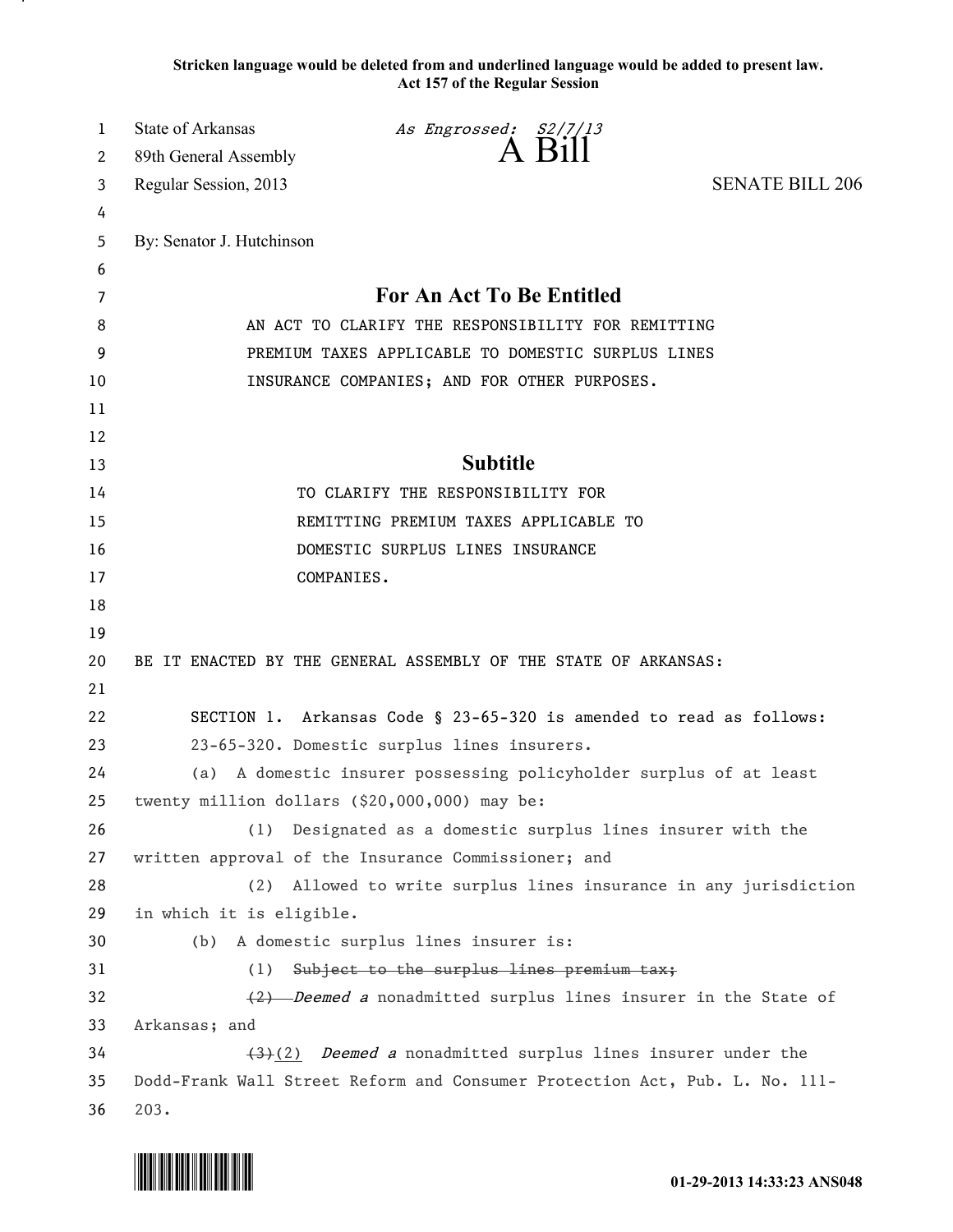**Stricken language would be deleted from and underlined language would be added to present law. Act 157 of the Regular Session**

| 1        | <b>State of Arkansas</b>                                                                                                                                       | As Engrossed: S2/7/13                                               |                        |  |
|----------|----------------------------------------------------------------------------------------------------------------------------------------------------------------|---------------------------------------------------------------------|------------------------|--|
| 2        | 89th General Assembly                                                                                                                                          | A Bill                                                              |                        |  |
| 3        | Regular Session, 2013                                                                                                                                          |                                                                     | <b>SENATE BILL 206</b> |  |
| 4        |                                                                                                                                                                |                                                                     |                        |  |
| 5        | By: Senator J. Hutchinson                                                                                                                                      |                                                                     |                        |  |
| 6        |                                                                                                                                                                |                                                                     |                        |  |
| 7        | For An Act To Be Entitled                                                                                                                                      |                                                                     |                        |  |
| 8        | AN ACT TO CLARIFY THE RESPONSIBILITY FOR REMITTING                                                                                                             |                                                                     |                        |  |
| 9        | PREMIUM TAXES APPLICABLE TO DOMESTIC SURPLUS LINES                                                                                                             |                                                                     |                        |  |
| 10       | INSURANCE COMPANIES; AND FOR OTHER PURPOSES.                                                                                                                   |                                                                     |                        |  |
| 11       |                                                                                                                                                                |                                                                     |                        |  |
| 12       |                                                                                                                                                                |                                                                     |                        |  |
| 13       |                                                                                                                                                                | <b>Subtitle</b>                                                     |                        |  |
| 14       | TO CLARIFY THE RESPONSIBILITY FOR                                                                                                                              |                                                                     |                        |  |
| 15       | REMITTING PREMIUM TAXES APPLICABLE TO                                                                                                                          |                                                                     |                        |  |
| 16       | DOMESTIC SURPLUS LINES INSURANCE                                                                                                                               |                                                                     |                        |  |
| 17       |                                                                                                                                                                | COMPANIES.                                                          |                        |  |
| 18       |                                                                                                                                                                |                                                                     |                        |  |
| 19       |                                                                                                                                                                |                                                                     |                        |  |
| 20       | BE IT ENACTED BY THE GENERAL ASSEMBLY OF THE STATE OF ARKANSAS:                                                                                                |                                                                     |                        |  |
| 21       |                                                                                                                                                                |                                                                     |                        |  |
| 22       |                                                                                                                                                                | SECTION 1. Arkansas Code § 23-65-320 is amended to read as follows: |                        |  |
| 23       | 23-65-320. Domestic surplus lines insurers.                                                                                                                    |                                                                     |                        |  |
| 24       | (a) A domestic insurer possessing policyholder surplus of at least                                                                                             |                                                                     |                        |  |
| 25       |                                                                                                                                                                | twenty million dollars (\$20,000,000) may be:                       |                        |  |
| 26       |                                                                                                                                                                | (1) Designated as a domestic surplus lines insurer with the         |                        |  |
| 27       |                                                                                                                                                                | written approval of the Insurance Commissioner; and                 |                        |  |
| 28       | (2)                                                                                                                                                            | Allowed to write surplus lines insurance in any jurisdiction        |                        |  |
| 29       | in which it is eligible.                                                                                                                                       |                                                                     |                        |  |
| 30       | (b)                                                                                                                                                            | A domestic surplus lines insurer is:                                |                        |  |
| 31       |                                                                                                                                                                | (1) Subject to the surplus lines premium tax;                       |                        |  |
| 32       | (2) Deemed a nonadmitted surplus lines insurer in the State of                                                                                                 |                                                                     |                        |  |
| 33<br>34 | Arkansas; and                                                                                                                                                  |                                                                     |                        |  |
| 35       | $\left(\frac{1}{2}\right)$ Deemed a nonadmitted surplus lines insurer under the<br>Dodd-Frank Wall Street Reform and Consumer Protection Act, Pub. L. No. 111- |                                                                     |                        |  |
| 36       | 203.                                                                                                                                                           |                                                                     |                        |  |
|          |                                                                                                                                                                |                                                                     |                        |  |